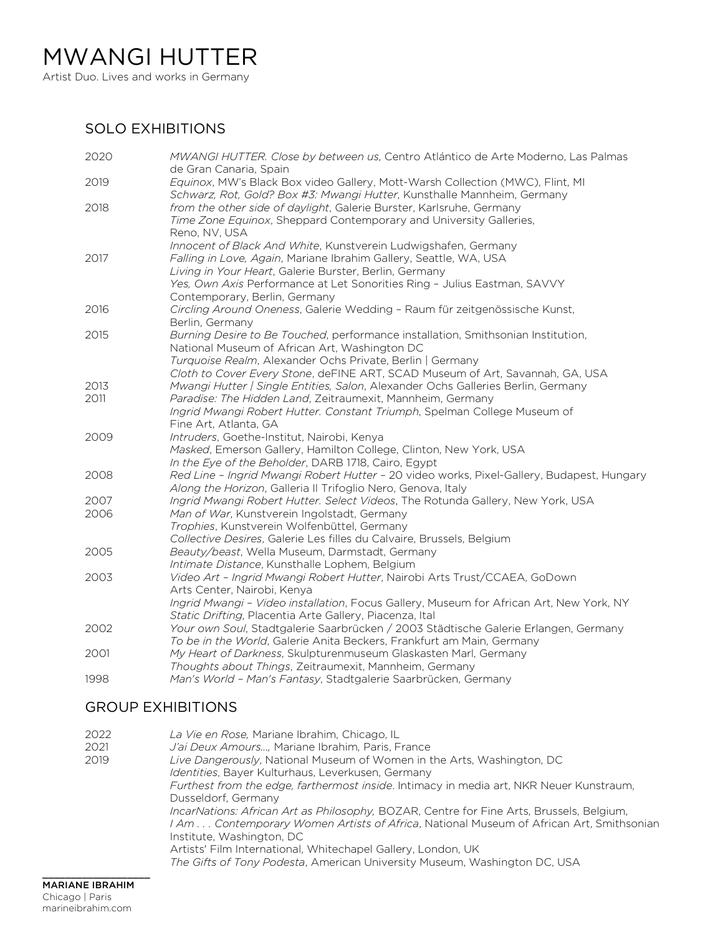Artist Duo. Lives and works in Germany

## SOLO EXHIBITIONS

| 2020 | MWANGI HUTTER. Close by between us, Centro Atlántico de Arte Moderno, Las Palmas<br>de Gran Canaria, Spain                 |
|------|----------------------------------------------------------------------------------------------------------------------------|
| 2019 | Equinox, MW's Black Box video Gallery, Mott-Warsh Collection (MWC), Flint, MI                                              |
|      | Schwarz, Rot, Gold? Box #3: Mwangi Hutter, Kunsthalle Mannheim, Germany                                                    |
| 2018 | from the other side of daylight, Galerie Burster, Karlsruhe, Germany                                                       |
|      | Time Zone Equinox, Sheppard Contemporary and University Galleries,                                                         |
|      | Reno, NV, USA                                                                                                              |
|      | Innocent of Black And White, Kunstverein Ludwigshafen, Germany                                                             |
| 2017 | Falling in Love, Again, Mariane Ibrahim Gallery, Seattle, WA, USA                                                          |
|      | Living in Your Heart, Galerie Burster, Berlin, Germany                                                                     |
|      | Yes, Own Axis Performance at Let Sonorities Ring - Julius Eastman, SAVVY                                                   |
|      | Contemporary, Berlin, Germany                                                                                              |
| 2016 | Circling Around Oneness, Galerie Wedding - Raum für zeitgenössische Kunst,                                                 |
|      | Berlin, Germany                                                                                                            |
| 2015 | Burning Desire to Be Touched, performance installation, Smithsonian Institution,                                           |
|      | National Museum of African Art, Washington DC                                                                              |
|      | Turquoise Realm, Alexander Ochs Private, Berlin   Germany                                                                  |
|      | Cloth to Cover Every Stone, deFINE ART, SCAD Museum of Art, Savannah, GA, USA                                              |
| 2013 | Mwangi Hutter / Single Entities, Salon, Alexander Ochs Galleries Berlin, Germany                                           |
| 2011 | Paradise: The Hidden Land, Zeitraumexit, Mannheim, Germany                                                                 |
|      | Ingrid Mwangi Robert Hutter. Constant Triumph, Spelman College Museum of                                                   |
|      | Fine Art, Atlanta, GA                                                                                                      |
| 2009 | Intruders, Goethe-Institut, Nairobi, Kenya                                                                                 |
|      | Masked, Emerson Gallery, Hamilton College, Clinton, New York, USA                                                          |
|      | In the Eye of the Beholder, DARB 1718, Cairo, Egypt                                                                        |
| 2008 | Red Line - Ingrid Mwangi Robert Hutter - 20 video works, Pixel-Gallery, Budapest, Hungary                                  |
|      | Along the Horizon, Galleria II Trifoglio Nero, Genova, Italy                                                               |
| 2007 | Ingrid Mwangi Robert Hutter. Select Videos, The Rotunda Gallery, New York, USA                                             |
| 2006 | Man of War, Kunstverein Ingolstadt, Germany                                                                                |
|      | Trophies, Kunstverein Wolfenbüttel, Germany                                                                                |
|      | Collective Desires, Galerie Les filles du Calvaire, Brussels, Belgium                                                      |
| 2005 | Beauty/beast, Wella Museum, Darmstadt, Germany                                                                             |
|      | Intimate Distance, Kunsthalle Lophem, Belgium<br>Video Art - Ingrid Mwangi Robert Hutter, Nairobi Arts Trust/CCAEA, GoDown |
| 2003 | Arts Center, Nairobi, Kenya                                                                                                |
|      | Ingrid Mwangi - Video installation, Focus Gallery, Museum for African Art, New York, NY                                    |
|      | Static Drifting, Placentia Arte Gallery, Piacenza, Ital                                                                    |
| 2002 | Your own Soul, Stadtgalerie Saarbrücken / 2003 Städtische Galerie Erlangen, Germany                                        |
|      | To be in the World, Galerie Anita Beckers, Frankfurt am Main, Germany                                                      |
| 2001 | My Heart of Darkness, Skulpturenmuseum Glaskasten Marl, Germany                                                            |
|      | Thoughts about Things, Zeitraumexit, Mannheim, Germany                                                                     |
| 1998 | Man's World - Man's Fantasy, Stadtgalerie Saarbrücken, Germany                                                             |
|      |                                                                                                                            |

## GROUP EXHIBITIONS

| 2022<br>2021<br>2019 | La Vie en Rose, Mariane Ibrahim, Chicago, IL<br>J'ai Deux Amours, Mariane Ibrahim, Paris, France<br>Live Dangerously, National Museum of Women in the Arts, Washington, DC<br>Identities, Bayer Kulturhaus, Leverkusen, Germany<br>Furthest from the edge, farthermost inside. Intimacy in media art, NKR Neuer Kunstraum,<br>Dusseldorf, Germany<br>IncarNations: African Art as Philosophy, BOZAR, Centre for Fine Arts, Brussels, Belgium,<br>I Am  Contemporary Women Artists of Africa, National Museum of African Art, Smithsonian<br>Institute, Washington, DC<br>Artists' Film International, Whitechapel Gallery, London, UK<br>The Gifts of Tony Podesta, American University Museum, Washington DC, USA |
|----------------------|--------------------------------------------------------------------------------------------------------------------------------------------------------------------------------------------------------------------------------------------------------------------------------------------------------------------------------------------------------------------------------------------------------------------------------------------------------------------------------------------------------------------------------------------------------------------------------------------------------------------------------------------------------------------------------------------------------------------|
|                      |                                                                                                                                                                                                                                                                                                                                                                                                                                                                                                                                                                                                                                                                                                                    |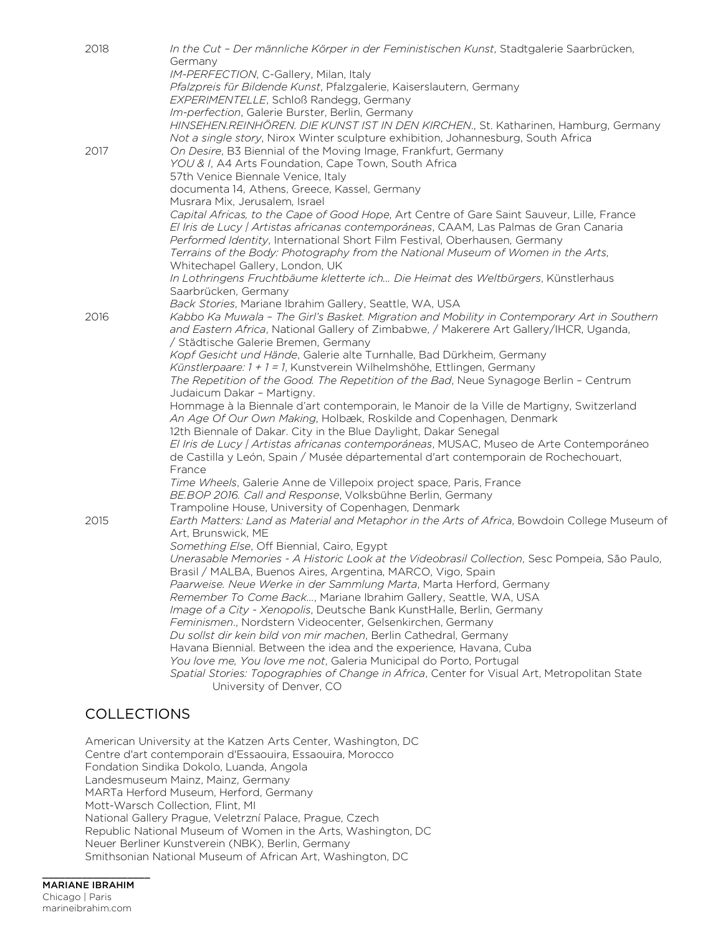| 2018 | In the Cut - Der männliche Körper in der Feministischen Kunst, Stadtgalerie Saarbrücken,      |
|------|-----------------------------------------------------------------------------------------------|
|      | Germany                                                                                       |
|      | IM-PERFECTION, C-Gallery, Milan, Italy                                                        |
|      | Pfalzpreis für Bildende Kunst, Pfalzgalerie, Kaiserslautern, Germany                          |
|      | EXPERIMENTELLE, Schloß Randegg, Germany                                                       |
|      | Im-perfection, Galerie Burster, Berlin, Germany                                               |
|      | HINSEHEN.REINHÖREN. DIE KUNST IST IN DEN KIRCHEN., St. Katharinen, Hamburg, Germany           |
|      | Not a single story, Nirox Winter sculpture exhibition, Johannesburg, South Africa             |
| 2017 | On Desire, B3 Biennial of the Moving Image, Frankfurt, Germany                                |
|      | YOU & I, A4 Arts Foundation, Cape Town, South Africa                                          |
|      | 57th Venice Biennale Venice, Italy                                                            |
|      | documenta 14, Athens, Greece, Kassel, Germany                                                 |
|      | Musrara Mix, Jerusalem, Israel                                                                |
|      | Capital Africas, to the Cape of Good Hope, Art Centre of Gare Saint Sauveur, Lille, France    |
|      | El Iris de Lucy / Artistas africanas contemporáneas, CAAM, Las Palmas de Gran Canaria         |
|      | Performed Identity, International Short Film Festival, Oberhausen, Germany                    |
|      | Terrains of the Body: Photography from the National Museum of Women in the Arts,              |
|      | Whitechapel Gallery, London, UK                                                               |
|      | In Lothringens Fruchtbäume kletterte ich Die Heimat des Weltbürgers, Künstlerhaus             |
|      | Saarbrücken, Germany                                                                          |
|      | Back Stories, Mariane Ibrahim Gallery, Seattle, WA, USA                                       |
| 2016 | Kabbo Ka Muwala - The Girl's Basket. Migration and Mobility in Contemporary Art in Southern   |
|      | and Eastern Africa, National Gallery of Zimbabwe, / Makerere Art Gallery/IHCR, Uganda,        |
|      | / Städtische Galerie Bremen, Germany                                                          |
|      | Kopf Gesicht und Hände, Galerie alte Turnhalle, Bad Dürkheim, Germany                         |
|      | Künstlerpaare: 1 + 1 = 1, Kunstverein Wilhelmshöhe, Ettlingen, Germany                        |
|      | The Repetition of the Good. The Repetition of the Bad, Neue Synagoge Berlin - Centrum         |
|      | Judaicum Dakar - Martigny.                                                                    |
|      | Hommage à la Biennale d'art contemporain, le Manoir de la Ville de Martigny, Switzerland      |
|      | An Age Of Our Own Making, Holbæk, Roskilde and Copenhagen, Denmark                            |
|      | 12th Biennale of Dakar. City in the Blue Daylight, Dakar Senegal                              |
|      | El Iris de Lucy / Artistas africanas contemporáneas, MUSAC, Museo de Arte Contemporáneo       |
|      | de Castilla y León, Spain / Musée départemental d'art contemporain de Rochechouart,           |
|      | France                                                                                        |
|      | Time Wheels, Galerie Anne de Villepoix project space, Paris, France                           |
|      | BE.BOP 2016. Call and Response, Volksbühne Berlin, Germany                                    |
|      | Trampoline House, University of Copenhagen, Denmark                                           |
| 2015 | Earth Matters: Land as Material and Metaphor in the Arts of Africa, Bowdoin College Museum of |
|      | Art, Brunswick, ME                                                                            |
|      | Something Else, Off Biennial, Cairo, Egypt                                                    |
|      | Unerasable Memories - A Historic Look at the Videobrasil Collection, Sesc Pompeia, São Paulo, |
|      | Brasil / MALBA, Buenos Aires, Argentina, MARCO, Vigo, Spain                                   |
|      | Paarweise. Neue Werke in der Sammlung Marta, Marta Herford, Germany                           |
|      | Remember To Come Back, Mariane Ibrahim Gallery, Seattle, WA, USA                              |
|      | Image of a City - Xenopolis, Deutsche Bank KunstHalle, Berlin, Germany                        |
|      | Feminismen., Nordstern Videocenter, Gelsenkirchen, Germany                                    |
|      | Du sollst dir kein bild von mir machen, Berlin Cathedral, Germany                             |
|      | Havana Biennial. Between the idea and the experience, Havana, Cuba                            |
|      | You love me, You love me not, Galeria Municipal do Porto, Portugal                            |
|      | Spatial Stories: Topographies of Change in Africa, Center for Visual Art, Metropolitan State  |
|      | University of Denver, CO                                                                      |
|      |                                                                                               |
|      |                                                                                               |

## **COLLECTIONS**

American University at the Katzen Arts Center, Washington, DC Centre d'art contemporain d'Essaouira, Essaouira, Morocco Fondation Sindika Dokolo, Luanda, Angola Landesmuseum Mainz, Mainz, Germany MARTa Herford Museum, Herford, Germany Mott-Warsch Collection, Flint, MI National Gallery Prague, Veletrzní Palace, Prague, Czech Republic National Museum of Women in the Arts, Washington, DC Neuer Berliner Kunstverein (NBK), Berlin, Germany Smithsonian National Museum of African Art, Washington, DC

## \_\_\_\_\_\_\_\_\_\_\_\_\_\_\_\_\_\_\_ MARIANE IBRAHIM Chicago | Paris marineibrahim.com